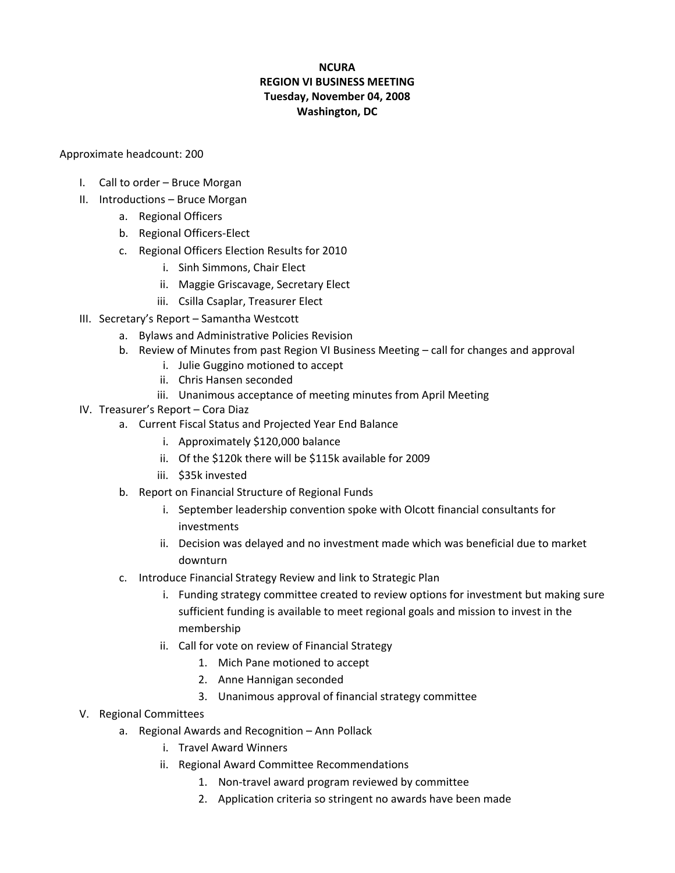### **NCURA REGION VI BUSINESS MEETING Tuesday, November 04, 2008 Washington, DC**

Approximate headcount: 200

- I. Call to order Bruce Morgan
- II. Introductions Bruce Morgan
	- a. Regional Officers
	- b. Regional Officers‐Elect
	- c. Regional Officers Election Results for 2010
		- i. Sinh Simmons, Chair Elect
		- ii. Maggie Griscavage, Secretary Elect
		- iii. Csilla Csaplar, Treasurer Elect
- III. Secretary's Report Samantha Westcott
	- a. Bylaws and Administrative Policies Revision
	- b. Review of Minutes from past Region VI Business Meeting call for changes and approval
		- i. Julie Guggino motioned to accept
		- ii. Chris Hansen seconded
		- iii. Unanimous acceptance of meeting minutes from April Meeting
- IV. Treasurer's Report Cora Diaz
	- a. Current Fiscal Status and Projected Year End Balance
		- i. Approximately \$120,000 balance
		- ii. Of the \$120k there will be \$115k available for 2009
		- iii. \$35k invested
	- b. Report on Financial Structure of Regional Funds
		- i. September leadership convention spoke with Olcott financial consultants for investments
		- ii. Decision was delayed and no investment made which was beneficial due to market downturn
	- c. Introduce Financial Strategy Review and link to Strategic Plan
		- i. Funding strategy committee created to review options for investment but making sure sufficient funding is available to meet regional goals and mission to invest in the membership
		- ii. Call for vote on review of Financial Strategy
			- 1. Mich Pane motioned to accept
			- 2. Anne Hannigan seconded
			- 3. Unanimous approval of financial strategy committee
- V. Regional Committees
	- a. Regional Awards and Recognition Ann Pollack
		- i. Travel Award Winners
		- ii. Regional Award Committee Recommendations
			- 1. Non-travel award program reviewed by committee
			- 2. Application criteria so stringent no awards have been made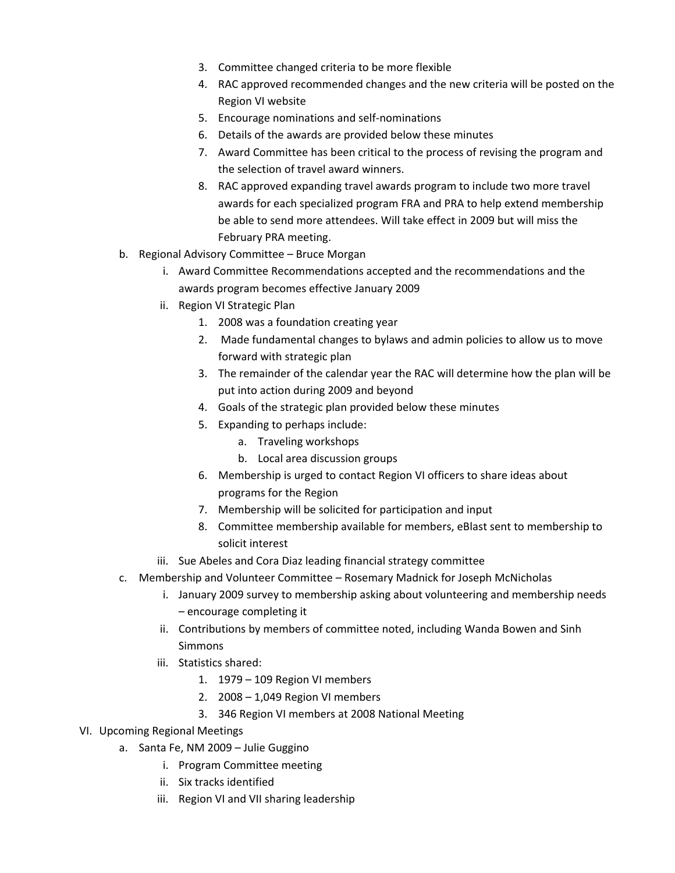- 3. Committee changed criteria to be more flexible
- 4. RAC approved recommended changes and the new criteria will be posted on the Region VI website
- 5. Encourage nominations and self‐nominations
- 6. Details of the awards are provided below these minutes
- 7. Award Committee has been critical to the process of revising the program and the selection of travel award winners.
- 8. RAC approved expanding travel awards program to include two more travel awards for each specialized program FRA and PRA to help extend membership be able to send more attendees. Will take effect in 2009 but will miss the February PRA meeting.
- b. Regional Advisory Committee Bruce Morgan
	- i. Award Committee Recommendations accepted and the recommendations and the awards program becomes effective January 2009
	- ii. Region VI Strategic Plan
		- 1. 2008 was a foundation creating year
		- 2. Made fundamental changes to bylaws and admin policies to allow us to move forward with strategic plan
		- 3. The remainder of the calendar year the RAC will determine how the plan will be put into action during 2009 and beyond
		- 4. Goals of the strategic plan provided below these minutes
		- 5. Expanding to perhaps include:
			- a. Traveling workshops
			- b. Local area discussion groups
		- 6. Membership is urged to contact Region VI officers to share ideas about programs for the Region
		- 7. Membership will be solicited for participation and input
		- 8. Committee membership available for members, eBlast sent to membership to solicit interest
	- iii. Sue Abeles and Cora Diaz leading financial strategy committee
- c. Membership and Volunteer Committee Rosemary Madnick for Joseph McNicholas
	- i. January 2009 survey to membership asking about volunteering and membership needs – encourage completing it
	- ii. Contributions by members of committee noted, including Wanda Bowen and Sinh Simmons
	- iii. Statistics shared:
		- 1. 1979 109 Region VI members
		- 2. 2008 1,049 Region VI members
		- 3. 346 Region VI members at 2008 National Meeting
- VI. Upcoming Regional Meetings
	- a. Santa Fe, NM 2009 Julie Guggino
		- i. Program Committee meeting
		- ii. Six tracks identified
		- iii. Region VI and VII sharing leadership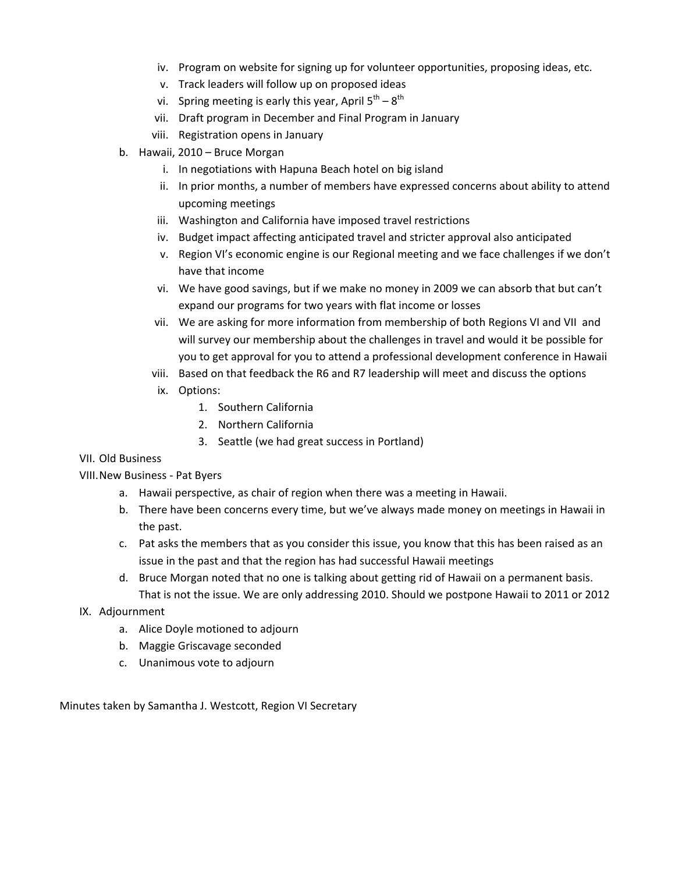- iv. Program on website for signing up for volunteer opportunities, proposing ideas, etc.
- v. Track leaders will follow up on proposed ideas
- vi. Spring meeting is early this year, April  $5^{th} 8^{th}$
- vii. Draft program in December and Final Program in January
- viii. Registration opens in January
- b. Hawaii, 2010 Bruce Morgan
	- i. In negotiations with Hapuna Beach hotel on big island
	- ii. In prior months, a number of members have expressed concerns about ability to attend upcoming meetings
	- iii. Washington and California have imposed travel restrictions
	- iv. Budget impact affecting anticipated travel and stricter approval also anticipated
	- v. Region VI's economic engine is our Regional meeting and we face challenges if we don't have that income
	- vi. We have good savings, but if we make no money in 2009 we can absorb that but can't expand our programs for two years with flat income or losses
	- vii. We are asking for more information from membership of both Regions VI and VII and will survey our membership about the challenges in travel and would it be possible for you to get approval for you to attend a professional development conference in Hawaii
	- viii. Based on that feedback the R6 and R7 leadership will meet and discuss the options
	- ix. Options:
		- 1. Southern California
		- 2. Northern California
		- 3. Seattle (we had great success in Portland)

#### VII. Old Business

VIII.New Business ‐ Pat Byers

- a. Hawaii perspective, as chair of region when there was a meeting in Hawaii.
- b. There have been concerns every time, but we've always made money on meetings in Hawaii in the past.
- c. Pat asks the members that as you consider this issue, you know that this has been raised as an issue in the past and that the region has had successful Hawaii meetings
- d. Bruce Morgan noted that no one is talking about getting rid of Hawaii on a permanent basis. That is not the issue. We are only addressing 2010. Should we postpone Hawaii to 2011 or 2012
- IX. Adjournment
	- a. Alice Doyle motioned to adjourn
	- b. Maggie Griscavage seconded
	- c. Unanimous vote to adjourn

Minutes taken by Samantha J. Westcott, Region VI Secretary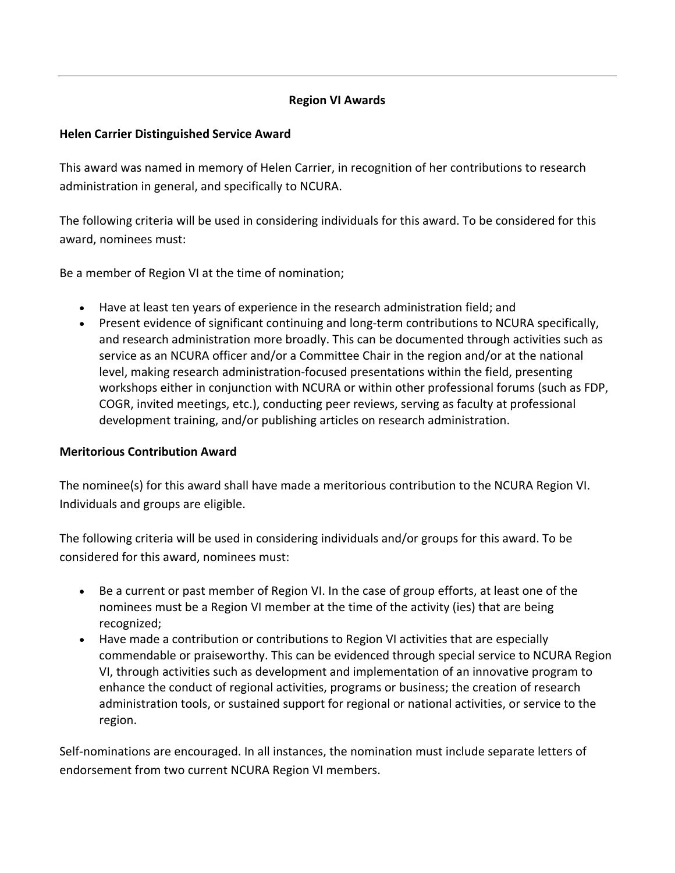# **Region VI Awards**

### **Helen Carrier Distinguished Service Award**

This award was named in memory of Helen Carrier, in recognition of her contributions to research administration in general, and specifically to NCURA.

The following criteria will be used in considering individuals for this award. To be considered for this award, nominees must:

Be a member of Region VI at the time of nomination;

- Have at least ten years of experience in the research administration field; and
- Present evidence of significant continuing and long-term contributions to NCURA specifically, and research administration more broadly. This can be documented through activities such as service as an NCURA officer and/or a Committee Chair in the region and/or at the national level, making research administration‐focused presentations within the field, presenting workshops either in conjunction with NCURA or within other professional forums (such as FDP, COGR, invited meetings, etc.), conducting peer reviews, serving as faculty at professional development training, and/or publishing articles on research administration.

#### **Meritorious Contribution Award**

The nominee(s) for this award shall have made a meritorious contribution to the NCURA Region VI. Individuals and groups are eligible.

The following criteria will be used in considering individuals and/or groups for this award. To be considered for this award, nominees must:

- Be a current or past member of Region VI. In the case of group efforts, at least one of the nominees must be a Region VI member at the time of the activity (ies) that are being recognized;
- Have made a contribution or contributions to Region VI activities that are especially commendable or praiseworthy. This can be evidenced through special service to NCURA Region VI, through activities such as development and implementation of an innovative program to enhance the conduct of regional activities, programs or business; the creation of research administration tools, or sustained support for regional or national activities, or service to the region.

Self-nominations are encouraged. In all instances, the nomination must include separate letters of endorsement from two current NCURA Region VI members.